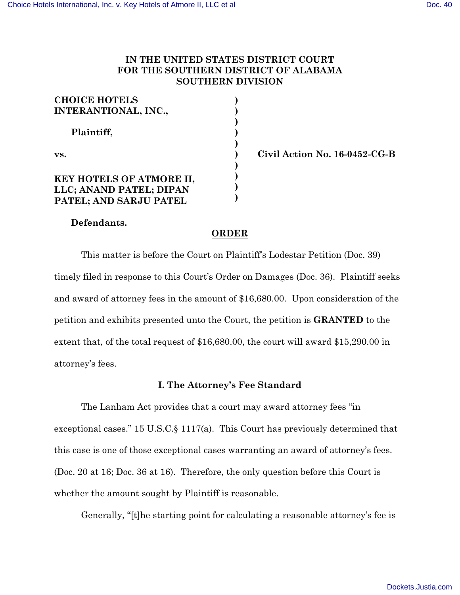# **IN THE UNITED STATES DISTRICT COURT FOR THE SOUTHERN DISTRICT OF ALABAMA SOUTHERN DIVISION**

| <b>CHOICE HOTELS</b>        |  |
|-----------------------------|--|
| <b>INTERANTIONAL, INC.,</b> |  |
| Plaintiff,                  |  |
|                             |  |
| VS.                         |  |
|                             |  |
| KEY HOTELS OF ATMORE II,    |  |
| LLC; ANAND PATEL; DIPAN     |  |
| PATEL; AND SARJU PATEL      |  |

**vs. Civil Action No. 16-0452-CG-B**

# **Defendants.**

## **ORDER**

This matter is before the Court on Plaintiff's Lodestar Petition (Doc. 39) timely filed in response to this Court's Order on Damages (Doc. 36). Plaintiff seeks and award of attorney fees in the amount of \$16,680.00. Upon consideration of the petition and exhibits presented unto the Court, the petition is **GRANTED** to the extent that, of the total request of \$16,680.00, the court will award \$15,290.00 in attorney's fees.

### **I. The Attorney's Fee Standard**

The Lanham Act provides that a court may award attorney fees "in exceptional cases." 15 U.S.C.§ 1117(a). This Court has previously determined that this case is one of those exceptional cases warranting an award of attorney's fees. (Doc. 20 at 16; Doc. 36 at 16). Therefore, the only question before this Court is whether the amount sought by Plaintiff is reasonable.

Generally, "[t]he starting point for calculating a reasonable attorney's fee is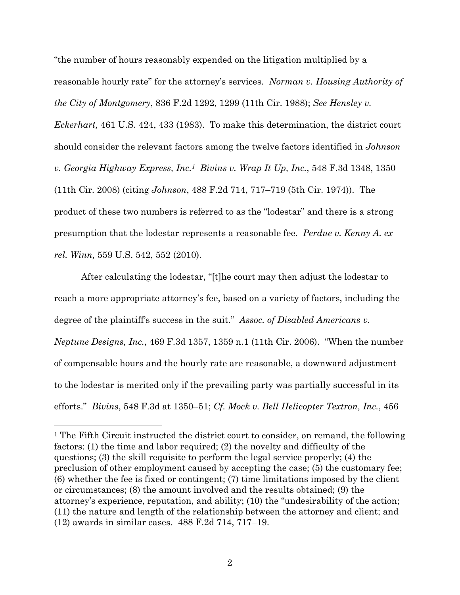"the number of hours reasonably expended on the litigation multiplied by a reasonable hourly rate" for the attorney's services. *Norman v. Housing Authority of the City of Montgomery*, 836 F.2d 1292, 1299 (11th Cir. 1988); *See Hensley v. Eckerhart,* 461 U.S. 424, 433 (1983). To make this determination, the district court should consider the relevant factors among the twelve factors identified in *Johnson v. Georgia Highway Express, Inc.1 Bivins v. Wrap It Up, Inc.*, 548 F.3d 1348, 1350 (11th Cir. 2008) (citing *Johnson*, 488 F.2d 714, 717–719 (5th Cir. 1974)). The product of these two numbers is referred to as the "lodestar" and there is a strong presumption that the lodestar represents a reasonable fee. *Perdue v. Kenny A. ex rel. Winn,* 559 U.S. 542, 552 (2010).

After calculating the lodestar, "[t]he court may then adjust the lodestar to reach a more appropriate attorney's fee, based on a variety of factors, including the degree of the plaintiff's success in the suit." *Assoc. of Disabled Americans v. Neptune Designs, Inc.*, 469 F.3d 1357, 1359 n.1 (11th Cir. 2006). "When the number of compensable hours and the hourly rate are reasonable, a downward adjustment to the lodestar is merited only if the prevailing party was partially successful in its efforts." *Bivins*, 548 F.3d at 1350–51; *Cf. Mock v. Bell Helicopter Textron, Inc.*, 456

 <sup>1</sup> The Fifth Circuit instructed the district court to consider, on remand, the following factors: (1) the time and labor required; (2) the novelty and difficulty of the questions; (3) the skill requisite to perform the legal service properly; (4) the preclusion of other employment caused by accepting the case; (5) the customary fee; (6) whether the fee is fixed or contingent; (7) time limitations imposed by the client or circumstances; (8) the amount involved and the results obtained; (9) the attorney's experience, reputation, and ability; (10) the "undesirability of the action; (11) the nature and length of the relationship between the attorney and client; and (12) awards in similar cases. 488 F.2d 714, 717–19.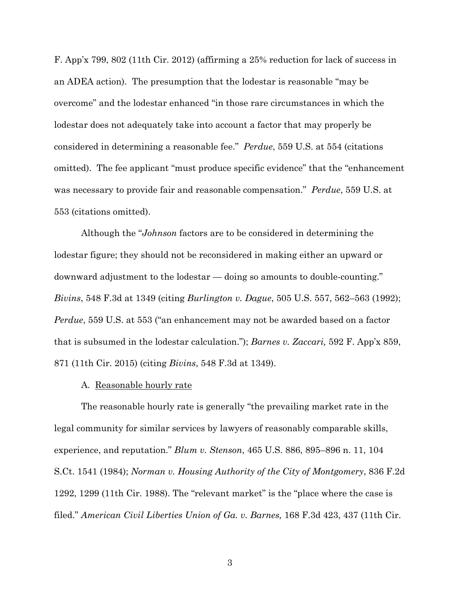F. App'x 799, 802 (11th Cir. 2012) (affirming a 25% reduction for lack of success in an ADEA action). The presumption that the lodestar is reasonable "may be overcome" and the lodestar enhanced "in those rare circumstances in which the lodestar does not adequately take into account a factor that may properly be considered in determining a reasonable fee." *Perdue*, 559 U.S. at 554 (citations omitted). The fee applicant "must produce specific evidence" that the "enhancement was necessary to provide fair and reasonable compensation." *Perdue*, 559 U.S. at 553 (citations omitted).

Although the "*Johnson* factors are to be considered in determining the lodestar figure; they should not be reconsidered in making either an upward or downward adjustment to the lodestar — doing so amounts to double-counting." *Bivins*, 548 F.3d at 1349 (citing *Burlington v. Dague*, 505 U.S. 557, 562–563 (1992); *Perdue*, 559 U.S. at 553 ("an enhancement may not be awarded based on a factor that is subsumed in the lodestar calculation."); *Barnes v. Zaccari,* 592 F. App'x 859, 871 (11th Cir. 2015) (citing *Bivins*, 548 F.3d at 1349).

### A. Reasonable hourly rate

The reasonable hourly rate is generally "the prevailing market rate in the legal community for similar services by lawyers of reasonably comparable skills, experience, and reputation." *Blum v. Stenson*, 465 U.S. 886, 895–896 n. 11, 104 S.Ct. 1541 (1984); *Norman v. Housing Authority of the City of Montgomery*, 836 F.2d 1292, 1299 (11th Cir. 1988). The "relevant market" is the "place where the case is filed." *American Civil Liberties Union of Ga. v. Barnes,* 168 F.3d 423, 437 (11th Cir.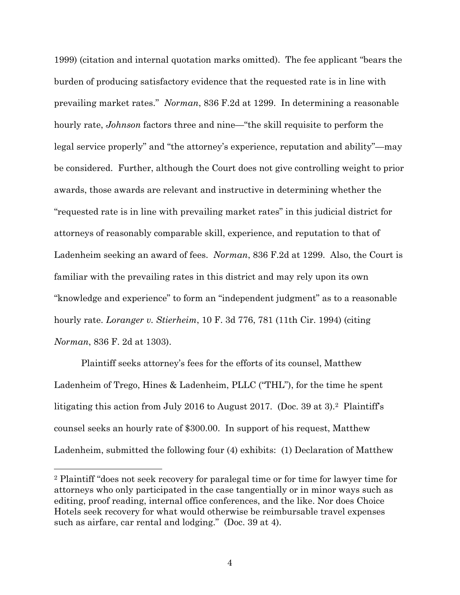1999) (citation and internal quotation marks omitted). The fee applicant "bears the burden of producing satisfactory evidence that the requested rate is in line with prevailing market rates." *Norman*, 836 F.2d at 1299. In determining a reasonable hourly rate, *Johnson* factors three and nine—"the skill requisite to perform the legal service properly" and "the attorney's experience, reputation and ability"—may be considered. Further, although the Court does not give controlling weight to prior awards, those awards are relevant and instructive in determining whether the "requested rate is in line with prevailing market rates" in this judicial district for attorneys of reasonably comparable skill, experience, and reputation to that of Ladenheim seeking an award of fees. *Norman*, 836 F.2d at 1299. Also, the Court is familiar with the prevailing rates in this district and may rely upon its own "knowledge and experience" to form an "independent judgment" as to a reasonable hourly rate. *Loranger v. Stierheim*, 10 F. 3d 776, 781 (11th Cir. 1994) (citing *Norman*, 836 F. 2d at 1303).

Plaintiff seeks attorney's fees for the efforts of its counsel, Matthew Ladenheim of Trego, Hines & Ladenheim, PLLC ("THL"), for the time he spent litigating this action from July 2016 to August 2017. (Doc. 39 at 3).2 Plaintiff's counsel seeks an hourly rate of \$300.00. In support of his request, Matthew Ladenheim, submitted the following four (4) exhibits: (1) Declaration of Matthew

 <sup>2</sup> Plaintiff "does not seek recovery for paralegal time or for time for lawyer time for attorneys who only participated in the case tangentially or in minor ways such as editing, proof reading, internal office conferences, and the like. Nor does Choice Hotels seek recovery for what would otherwise be reimbursable travel expenses such as airfare, car rental and lodging." (Doc. 39 at 4).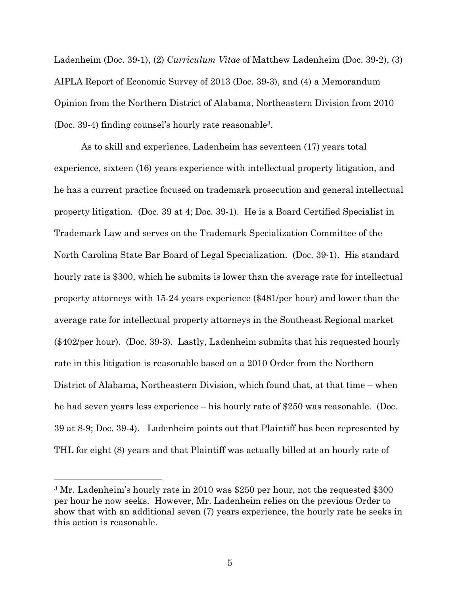Ladenheim (Doc. 39-1), (2) *Curriculum Vitae* of Matthew Ladenheim (Doc. 39-2), (3) AIPLA Report of Economic Survey of 2013 (Doc. 39-3), and (4) a Memorandum Opinion from the Northern District of Alabama, Northeastern Division from 2010 (Doc. 39-4) finding counsel's hourly rate reasonable3.

As to skill and experience, Ladenheim has seventeen (17) years total experience, sixteen (16) years experience with intellectual property litigation, and he has a current practice focused on trademark prosecution and general intellectual property litigation. (Doc. 39 at 4; Doc. 39-1). He is a Board Certified Specialist in Trademark Law and serves on the Trademark Specialization Committee of the North Carolina State Bar Board of Legal Specialization. (Doc. 39-1). His standard hourly rate is \$300, which he submits is lower than the average rate for intellectual property attorneys with 15-24 years experience (\$481/per hour) and lower than the average rate for intellectual property attorneys in the Southeast Regional market (\$402/per hour). (Doc. 39-3). Lastly, Ladenheim submits that his requested hourly rate in this litigation is reasonable based on a 2010 Order from the Northern District of Alabama, Northeastern Division, which found that, at that time – when he had seven years less experience – his hourly rate of \$250 was reasonable. (Doc. 39 at 8-9; Doc. 39-4). Ladenheim points out that Plaintiff has been represented by THL for eight (8) years and that Plaintiff was actually billed at an hourly rate of

 <sup>3</sup> Mr. Ladenheim's hourly rate in 2010 was \$250 per hour, not the requested \$300 per hour he now seeks. However, Mr. Ladenheim relies on the previous Order to show that with an additional seven (7) years experience, the hourly rate he seeks in this action is reasonable.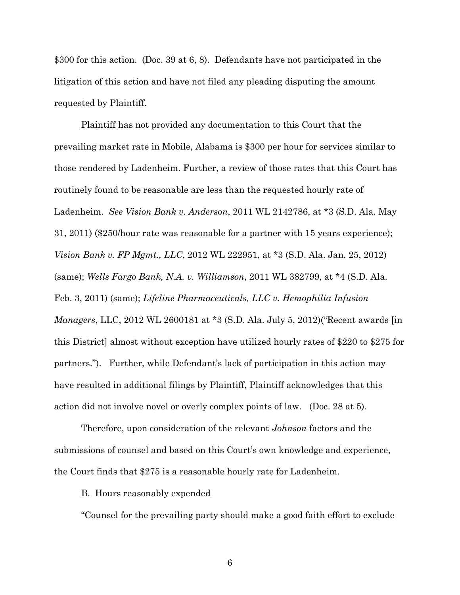\$300 for this action. (Doc. 39 at 6, 8). Defendants have not participated in the litigation of this action and have not filed any pleading disputing the amount requested by Plaintiff.

Plaintiff has not provided any documentation to this Court that the prevailing market rate in Mobile, Alabama is \$300 per hour for services similar to those rendered by Ladenheim. Further, a review of those rates that this Court has routinely found to be reasonable are less than the requested hourly rate of Ladenheim. *See Vision Bank v. Anderson*, 2011 WL 2142786, at \*3 (S.D. Ala. May 31, 2011) (\$250/hour rate was reasonable for a partner with 15 years experience); *Vision Bank v. FP Mgmt., LLC*, 2012 WL 222951, at \*3 (S.D. Ala. Jan. 25, 2012) (same); *Wells Fargo Bank, N.A. v. Williamson*, 2011 WL 382799, at \*4 (S.D. Ala. Feb. 3, 2011) (same); *Lifeline Pharmaceuticals, LLC v. Hemophilia Infusion Managers*, LLC, 2012 WL 2600181 at \*3 (S.D. Ala. July 5, 2012)("Recent awards [in this District] almost without exception have utilized hourly rates of \$220 to \$275 for partners."). Further, while Defendant's lack of participation in this action may have resulted in additional filings by Plaintiff, Plaintiff acknowledges that this action did not involve novel or overly complex points of law. (Doc. 28 at 5).

Therefore, upon consideration of the relevant *Johnson* factors and the submissions of counsel and based on this Court's own knowledge and experience, the Court finds that \$275 is a reasonable hourly rate for Ladenheim.

#### B. Hours reasonably expended

"Counsel for the prevailing party should make a good faith effort to exclude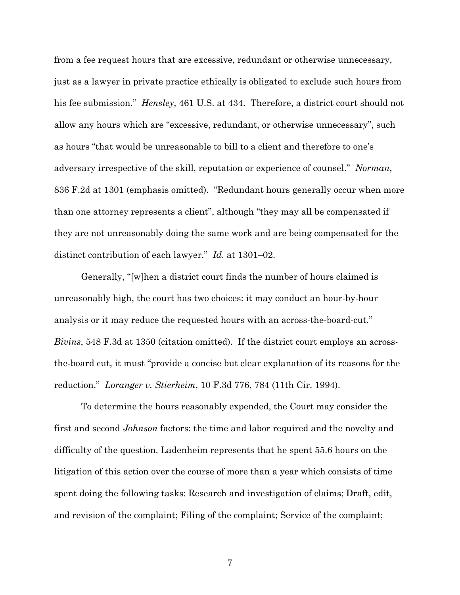from a fee request hours that are excessive, redundant or otherwise unnecessary, just as a lawyer in private practice ethically is obligated to exclude such hours from his fee submission." *Hensley*, 461 U.S. at 434. Therefore, a district court should not allow any hours which are "excessive, redundant, or otherwise unnecessary", such as hours "that would be unreasonable to bill to a client and therefore to one's adversary irrespective of the skill, reputation or experience of counsel." *Norman*, 836 F.2d at 1301 (emphasis omitted). "Redundant hours generally occur when more than one attorney represents a client", although "they may all be compensated if they are not unreasonably doing the same work and are being compensated for the distinct contribution of each lawyer." *Id.* at 1301–02.

Generally, "[w]hen a district court finds the number of hours claimed is unreasonably high, the court has two choices: it may conduct an hour-by-hour analysis or it may reduce the requested hours with an across-the-board-cut." *Bivins*, 548 F.3d at 1350 (citation omitted). If the district court employs an acrossthe-board cut, it must "provide a concise but clear explanation of its reasons for the reduction." *Loranger v. Stierheim*, 10 F.3d 776, 784 (11th Cir. 1994).

To determine the hours reasonably expended, the Court may consider the first and second *Johnson* factors: the time and labor required and the novelty and difficulty of the question. Ladenheim represents that he spent 55.6 hours on the litigation of this action over the course of more than a year which consists of time spent doing the following tasks: Research and investigation of claims; Draft, edit, and revision of the complaint; Filing of the complaint; Service of the complaint;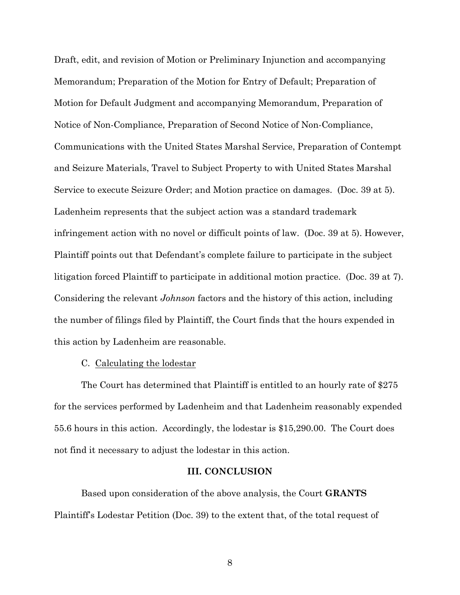Draft, edit, and revision of Motion or Preliminary Injunction and accompanying Memorandum; Preparation of the Motion for Entry of Default; Preparation of Motion for Default Judgment and accompanying Memorandum, Preparation of Notice of Non-Compliance, Preparation of Second Notice of Non-Compliance, Communications with the United States Marshal Service, Preparation of Contempt and Seizure Materials, Travel to Subject Property to with United States Marshal Service to execute Seizure Order; and Motion practice on damages. (Doc. 39 at 5). Ladenheim represents that the subject action was a standard trademark infringement action with no novel or difficult points of law. (Doc. 39 at 5). However, Plaintiff points out that Defendant's complete failure to participate in the subject litigation forced Plaintiff to participate in additional motion practice. (Doc. 39 at 7). Considering the relevant *Johnson* factors and the history of this action, including the number of filings filed by Plaintiff, the Court finds that the hours expended in this action by Ladenheim are reasonable.

#### C. Calculating the lodestar

The Court has determined that Plaintiff is entitled to an hourly rate of \$275 for the services performed by Ladenheim and that Ladenheim reasonably expended 55.6 hours in this action. Accordingly, the lodestar is \$15,290.00. The Court does not find it necessary to adjust the lodestar in this action.

#### **III. CONCLUSION**

Based upon consideration of the above analysis, the Court **GRANTS** Plaintiff's Lodestar Petition (Doc. 39) to the extent that, of the total request of